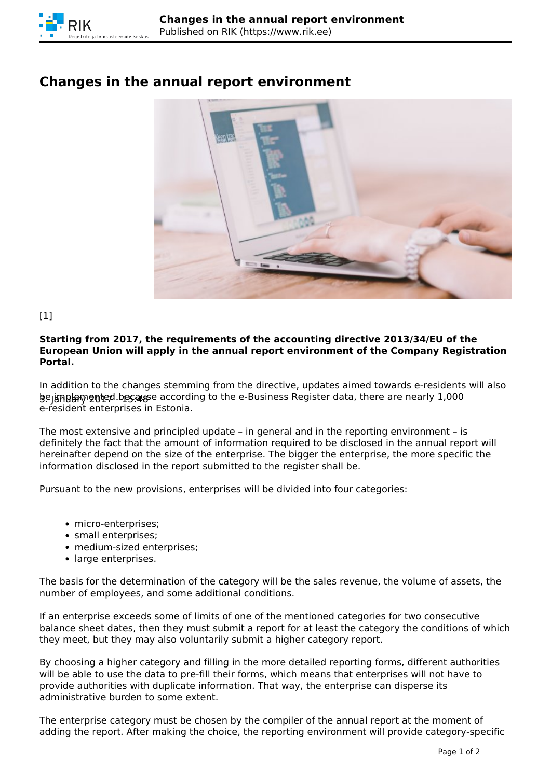

## **Changes in the annual report environment**



 $[1]$ 

## **Starting from 2017, the requirements of the accounting directive 2013/34/EU of the European Union will apply in the annual report environment of the Company Registration Portal.**

**b**ejimula mented besalse according to the e-Business Register data, there are nearly  $1{,}000$ In addition to the changes stemming from the directive, updates aimed towards e-residents will also e-resident enterprises in Estonia.

The most extensive and principled update – in general and in the reporting environment – is definitely the fact that the amount of information required to be disclosed in the annual report will hereinafter depend on the size of the enterprise. The bigger the enterprise, the more specific the information disclosed in the report submitted to the register shall be.

Pursuant to the new provisions, enterprises will be divided into four categories:

- micro-enterprises;
- small enterprises;
- medium-sized enterprises;
- large enterprises.

The basis for the determination of the category will be the sales revenue, the volume of assets, the number of employees, and some additional conditions.

If an enterprise exceeds some of limits of one of the mentioned categories for two consecutive balance sheet dates, then they must submit a report for at least the category the conditions of which they meet, but they may also voluntarily submit a higher category report.

By choosing a higher category and filling in the more detailed reporting forms, different authorities will be able to use the data to pre-fill their forms, which means that enterprises will not have to provide authorities with duplicate information. That way, the enterprise can disperse its administrative burden to some extent.

The enterprise category must be chosen by the compiler of the annual report at the moment of adding the report. After making the choice, the reporting environment will provide category-specific